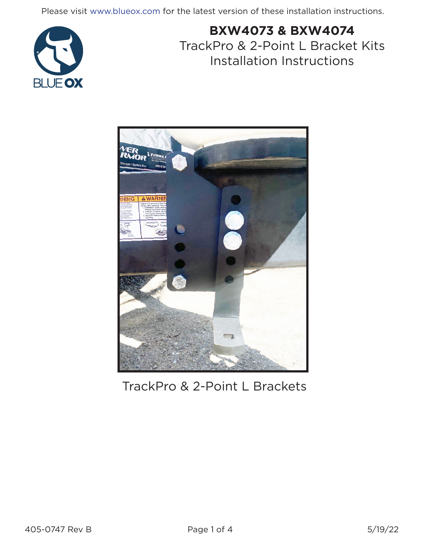Please visit www.blueox.com for the latest version of these installation instructions.



# **BXW4073 & BXW4074** TrackPro & 2-Point L Bracket Kits Installation Instructions



TrackPro & 2-Point L Brackets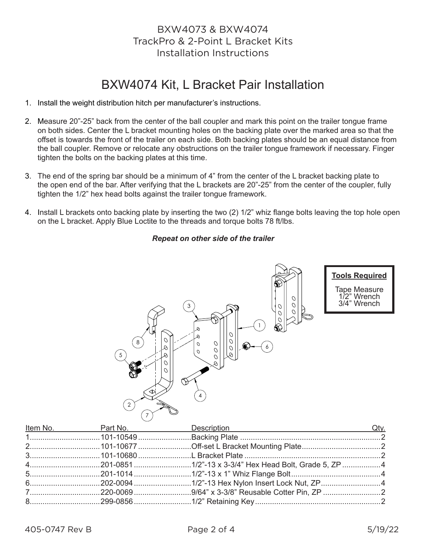### BXW4073 & BXW4074 TrackPro & 2-Point L Bracket Kits Installation Instructions

## BXW4074 Kit, L Bracket Pair Installation

- 1. Install the weight distribution hitch per manufacturer's instructions.
- 2. Measure 20"-25" back from the center of the ball coupler and mark this point on the trailer tongue frame on both sides. Center the L bracket mounting holes on the backing plate over the marked area so that the offset is towards the front of the trailer on each side. Both backing plates should be an equal distance from the ball coupler. Remove or relocate any obstructions on the trailer tongue framework if necessary. Finger tighten the bolts on the backing plates at this time.
- 3. The end of the spring bar should be a minimum of 4" from the center of the L bracket backing plate to the open end of the bar. After verifying that the L brackets are 20"-25" from the center of the coupler, fully tighten the 1/2" hex head bolts against the trailer tongue framework.
- 4. Install L brackets onto backing plate by inserting the two (2) 1/2" whiz flange bolts leaving the top hole open on the L bracket. Apply Blue Loctite to the threads and torque bolts 78 ft/lbs.

#### *Repeat on other side of the trailer*



|  | <u>Item No. 2014 Part No. 2014 Description</u> Description 2014 |  |
|--|-----------------------------------------------------------------|--|
|  |                                                                 |  |
|  |                                                                 |  |
|  |                                                                 |  |
|  |                                                                 |  |
|  |                                                                 |  |
|  |                                                                 |  |
|  |                                                                 |  |
|  |                                                                 |  |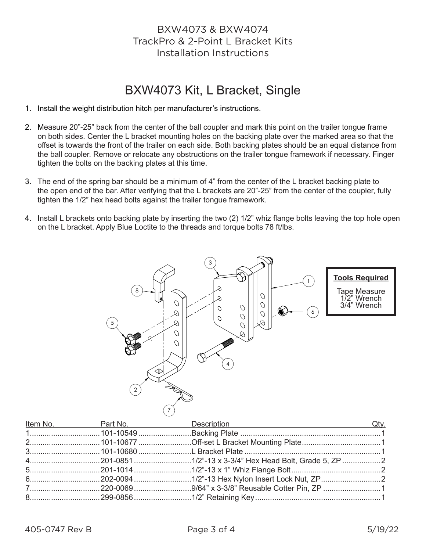### BXW4073 & BXW4074 TrackPro & 2-Point L Bracket Kits Installation Instructions

## BXW4073 Kit, L Bracket, Single

- 1. Install the weight distribution hitch per manufacturer's instructions.
- 2. Measure 20"-25" back from the center of the ball coupler and mark this point on the trailer tongue frame on both sides. Center the L bracket mounting holes on the backing plate over the marked area so that the offset is towards the front of the trailer on each side. Both backing plates should be an equal distance from the ball coupler. Remove or relocate any obstructions on the trailer tongue framework if necessary. Finger tighten the bolts on the backing plates at this time.
- 3. The end of the spring bar should be a minimum of 4" from the center of the L bracket backing plate to the open end of the bar. After verifying that the L brackets are 20"-25" from the center of the coupler, fully tighten the 1/2" hex head bolts against the trailer tongue framework.
- 4. Install L brackets onto backing plate by inserting the two (2) 1/2" whiz flange bolts leaving the top hole open on the L bracket. Apply Blue Loctite to the threads and torque bolts 78 ft/lbs.



|  | <u>Item No. 2011 Part No. 2018 Description</u> Description Caty. |  |
|--|------------------------------------------------------------------|--|
|  |                                                                  |  |
|  |                                                                  |  |
|  |                                                                  |  |
|  |                                                                  |  |
|  |                                                                  |  |
|  |                                                                  |  |
|  |                                                                  |  |
|  |                                                                  |  |